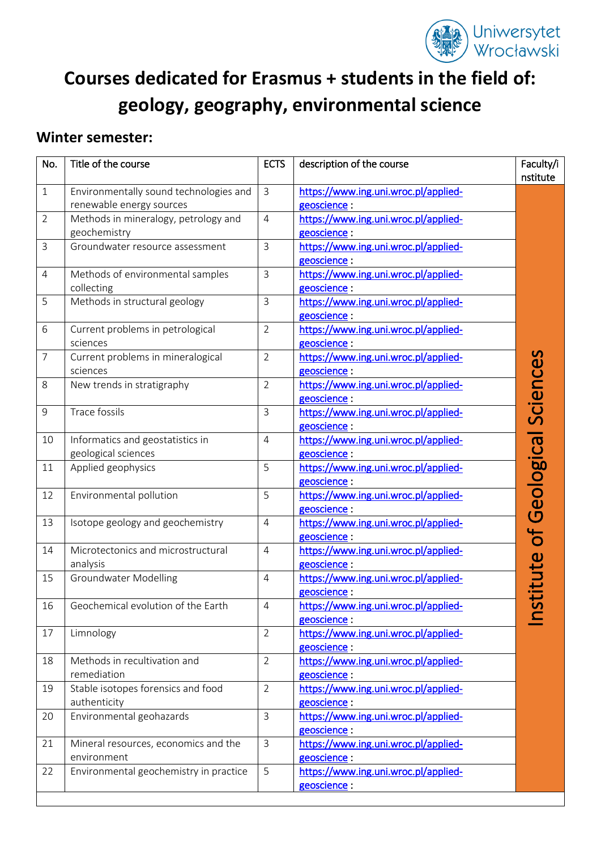

# **Courses dedicated for Erasmus + students in the field of: geology, geography, environmental science**

### **Winter semester:**

| No.            | Title of the course                                                | <b>ECTS</b>    | description of the course                            | Faculty/i<br>nstitute |
|----------------|--------------------------------------------------------------------|----------------|------------------------------------------------------|-----------------------|
| $\mathbf{1}$   | Environmentally sound technologies and<br>renewable energy sources | $\mathbf{3}$   | https://www.ing.uni.wroc.pl/applied-<br>geoscience : |                       |
| $\overline{2}$ | Methods in mineralogy, petrology and<br>geochemistry               | $\overline{4}$ | https://www.ing.uni.wroc.pl/applied-<br>geoscience:  |                       |
| $\overline{3}$ | Groundwater resource assessment                                    | $\overline{3}$ | https://www.ing.uni.wroc.pl/applied-<br>geoscience:  |                       |
| 4              | Methods of environmental samples<br>collecting                     | $\mathbf{3}$   | https://www.ing.uni.wroc.pl/applied-<br>geoscience:  |                       |
| 5              | Methods in structural geology                                      | $\mathbf{3}$   | https://www.ing.uni.wroc.pl/applied-<br>geoscience:  |                       |
| 6              | Current problems in petrological<br>sciences                       | $\overline{2}$ | https://www.ing.uni.wroc.pl/applied-<br>geoscience:  |                       |
| $\overline{7}$ | Current problems in mineralogical<br>sciences                      | $\overline{2}$ | https://www.ing.uni.wroc.pl/applied-<br>geoscience:  |                       |
| 8              | New trends in stratigraphy                                         | $\overline{2}$ | https://www.ing.uni.wroc.pl/applied-<br>geoscience:  |                       |
| 9              | <b>Trace fossils</b>                                               | $\mathsf{3}$   | https://www.ing.uni.wroc.pl/applied-<br>geoscience : |                       |
| 10             | Informatics and geostatistics in<br>geological sciences            | $\overline{4}$ | https://www.ing.uni.wroc.pl/applied-<br>geoscience:  |                       |
| 11             | Applied geophysics                                                 | 5              | https://www.ing.uni.wroc.pl/applied-<br>geoscience:  |                       |
| 12             | Environmental pollution                                            | 5              | https://www.ing.uni.wroc.pl/applied-<br>geoscience:  | Geologica             |
| 13             | Isotope geology and geochemistry                                   | $\overline{4}$ | https://www.ing.uni.wroc.pl/applied-<br>geoscience : |                       |
| 14             | Microtectonics and microstructural<br>analysis                     | $\overline{4}$ | https://www.ing.uni.wroc.pl/applied-<br>geoscience:  |                       |
| 15             | <b>Groundwater Modelling</b>                                       | $\overline{4}$ | https://www.ing.uni.wroc.pl/applied-<br>geoscience:  |                       |
| 16             | Geochemical evolution of the Earth                                 | $\overline{4}$ | https://www.ing.uni.wroc.pl/applied-<br>geoscience:  |                       |
| 17             | Limnology                                                          | $\overline{2}$ | https://www.ing.uni.wroc.pl/applied-<br>geoscience : |                       |
| 18             | Methods in recultivation and<br>remediation                        | $\overline{2}$ | https://www.ing.uni.wroc.pl/applied-<br>geoscience:  |                       |
| 19             | Stable isotopes forensics and food<br>authenticity                 | $\overline{2}$ | https://www.ing.uni.wroc.pl/applied-<br>geoscience:  |                       |
| 20             | Environmental geohazards                                           | $\mathsf{3}$   | https://www.ing.uni.wroc.pl/applied-<br>geoscience : |                       |
| 21             | Mineral resources, economics and the<br>environment                | $\mathbf{3}$   | https://www.ing.uni.wroc.pl/applied-<br>geoscience:  |                       |
| 22             | Environmental geochemistry in practice                             | 5              | https://www.ing.uni.wroc.pl/applied-<br>geoscience:  |                       |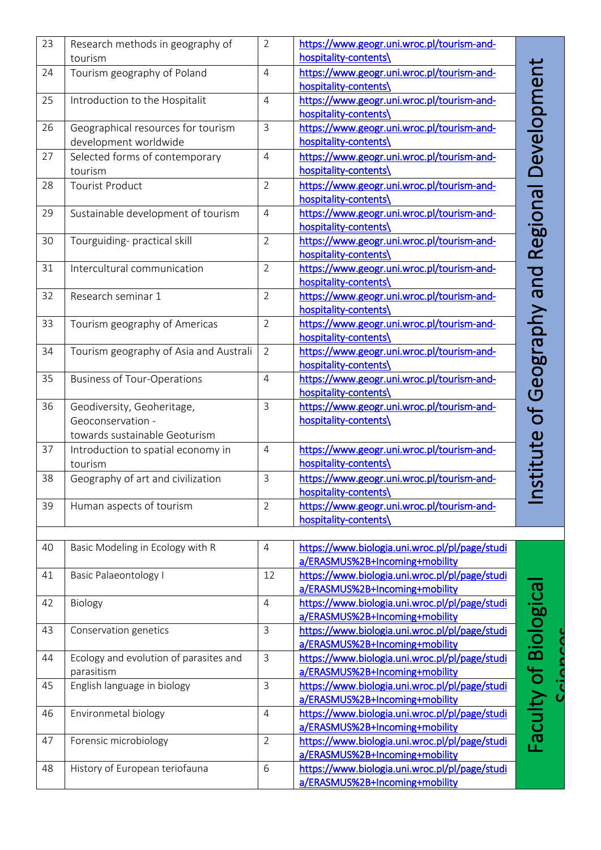| 23 | Research methods in geography of<br>tourism                                      | $\overline{2}$ | https://www.geogr.uni.wroc.pl/tourism-and-<br>hospitality-contents\                          |                            |
|----|----------------------------------------------------------------------------------|----------------|----------------------------------------------------------------------------------------------|----------------------------|
| 24 | Tourism geography of Poland                                                      | $\overline{4}$ | https://www.geogr.uni.wroc.pl/tourism-and-                                                   |                            |
| 25 | Introduction to the Hospitalit                                                   | $\overline{4}$ | hospitality-contents\<br>https://www.geogr.uni.wroc.pl/tourism-and-<br>hospitality-contents\ | Jevelopmen                 |
| 26 | Geographical resources for tourism<br>development worldwide                      | $\overline{3}$ | https://www.geogr.uni.wroc.pl/tourism-and-<br>hospitality-contents\                          |                            |
| 27 | Selected forms of contemporary<br>tourism                                        | $\overline{4}$ | https://www.geogr.uni.wroc.pl/tourism-and-<br>hospitality-contents\                          |                            |
| 28 | <b>Tourist Product</b>                                                           | $\overline{2}$ | https://www.geogr.uni.wroc.pl/tourism-and-<br>hospitality-contents\                          |                            |
| 29 | Sustainable development of tourism                                               | $\overline{4}$ | https://www.geogr.uni.wroc.pl/tourism-and-<br>hospitality-contents\                          | Regiona                    |
| 30 | Tourguiding- practical skill                                                     | $\overline{2}$ | https://www.geogr.uni.wroc.pl/tourism-and-<br>hospitality-contents\                          |                            |
| 31 | Intercultural communication                                                      | $\overline{2}$ | https://www.geogr.uni.wroc.pl/tourism-and-<br>hospitality-contents\                          | pue                        |
| 32 | Research seminar 1                                                               | $\overline{2}$ | https://www.geogr.uni.wroc.pl/tourism-and-<br>hospitality-contents\                          |                            |
| 33 | Tourism geography of Americas                                                    | $\overline{2}$ | https://www.geogr.uni.wroc.pl/tourism-and-<br>hospitality-contents\                          | NUd                        |
| 34 | Tourism geography of Asia and Australi                                           | $\overline{2}$ | https://www.geogr.uni.wroc.pl/tourism-and-<br>hospitality-contents\                          | Geogra                     |
| 35 | <b>Business of Tour-Operations</b>                                               | $\overline{4}$ | https://www.geogr.uni.wroc.pl/tourism-and-<br>hospitality-contents\                          |                            |
| 36 | Geodiversity, Geoheritage,<br>Geoconservation -<br>towards sustainable Geoturism | $\mathsf{3}$   | https://www.geogr.uni.wroc.pl/tourism-and-<br>hospitality-contents\                          | $\mathbf{\mathsf{O}}$<br>ധ |
| 37 | Introduction to spatial economy in<br>tourism                                    | $\overline{4}$ | https://www.geogr.uni.wroc.pl/tourism-and-<br>hospitality-contents\                          |                            |
| 38 | Geography of art and civilization                                                | $\mathbf{3}$   | https://www.geogr.uni.wroc.pl/tourism-and-<br>hospitality-contents\                          |                            |
| 39 | Human aspects of tourism                                                         | $\overline{2}$ | https://www.geogr.uni.wroc.pl/tourism-and-<br>hospitality-contents\                          | $\mathbf{C}$               |
|    |                                                                                  |                |                                                                                              |                            |
| 40 | Basic Modeling in Ecology with R                                                 | $\overline{4}$ | https://www.biologia.uni.wroc.pl/pl/page/studi<br>a/ERASMUS%2B+Incoming+mobility             |                            |
| 41 | Basic Palaeontology I                                                            | 12             | https://www.biologia.uni.wroc.pl/pl/page/studi<br>a/ERASMUS%2B+Incoming+mobility             |                            |
| 42 | Biology                                                                          | $\overline{4}$ | https://www.biologia.uni.wroc.pl/pl/page/studi<br>a/ERASMUS%2B+Incoming+mobility             |                            |
| 43 | Conservation genetics                                                            | $\mathbf{3}$   | https://www.biologia.uni.wroc.pl/pl/page/studi<br>a/ERASMUS%2B+Incoming+mobility             |                            |
| 44 | Ecology and evolution of parasites and<br>parasitism                             | $\mathfrak{Z}$ | https://www.biologia.uni.wroc.pl/pl/page/studi<br>a/ERASMUS%2B+Incoming+mobility             |                            |
| 45 | English language in biology                                                      | $\mathbf{3}$   | https://www.biologia.uni.wroc.pl/pl/page/studi<br>a/ERASMUS%2B+Incoming+mobility             | Faculty of Biologica       |
| 46 | Environmetal biology                                                             | $\overline{4}$ | https://www.biologia.uni.wroc.pl/pl/page/studi<br>a/ERASMUS%2B+Incoming+mobility             |                            |
| 47 | Forensic microbiology                                                            | $\overline{2}$ | https://www.biologia.uni.wroc.pl/pl/page/studi<br>a/ERASMUS%2B+Incoming+mobility             |                            |
| 48 | History of European teriofauna                                                   | 6              | https://www.biologia.uni.wroc.pl/pl/page/studi<br>a/ERASMUS%2B+Incoming+mobility             |                            |

Ccioncoc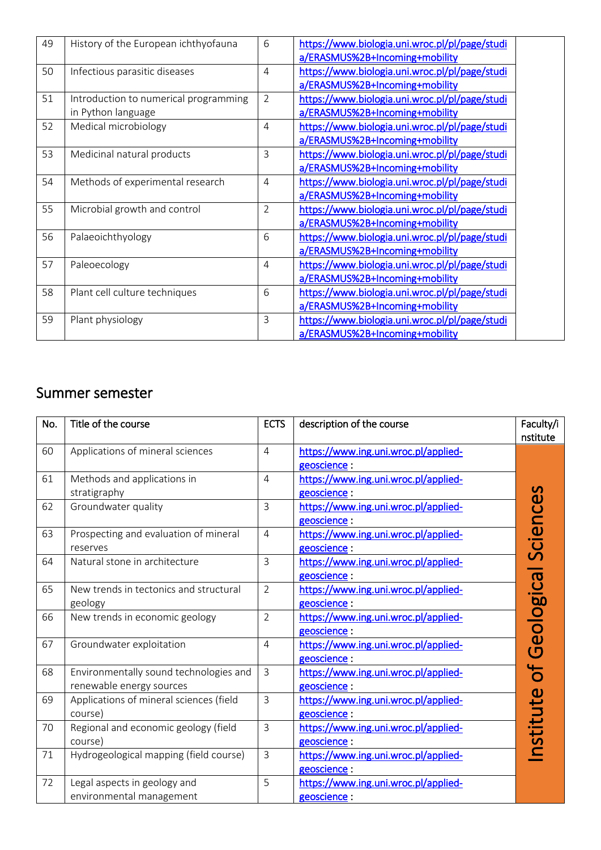| 49 | History of the European ichthyofauna                        | 6              | https://www.biologia.uni.wroc.pl/pl/page/studi<br>a/ERASMUS%2B+Incoming+mobility |  |
|----|-------------------------------------------------------------|----------------|----------------------------------------------------------------------------------|--|
| 50 | Infectious parasitic diseases                               | $\overline{4}$ | https://www.biologia.uni.wroc.pl/pl/page/studi<br>a/ERASMUS%2B+Incoming+mobility |  |
| 51 | Introduction to numerical programming<br>in Python language | $\overline{2}$ | https://www.biologia.uni.wroc.pl/pl/page/studi<br>a/ERASMUS%2B+Incoming+mobility |  |
| 52 | Medical microbiology                                        | $\overline{4}$ | https://www.biologia.uni.wroc.pl/pl/page/studi<br>a/ERASMUS%2B+Incoming+mobility |  |
| 53 | Medicinal natural products                                  | 3              | https://www.biologia.uni.wroc.pl/pl/page/studi<br>a/ERASMUS%2B+Incoming+mobility |  |
| 54 | Methods of experimental research                            | $\overline{4}$ | https://www.biologia.uni.wroc.pl/pl/page/studi<br>a/ERASMUS%2B+Incoming+mobility |  |
| 55 | Microbial growth and control                                | $\overline{2}$ | https://www.biologia.uni.wroc.pl/pl/page/studi<br>a/ERASMUS%2B+Incoming+mobility |  |
| 56 | Palaeoichthyology                                           | 6              | https://www.biologia.uni.wroc.pl/pl/page/studi<br>a/ERASMUS%2B+Incoming+mobility |  |
| 57 | Paleoecology                                                | $\overline{4}$ | https://www.biologia.uni.wroc.pl/pl/page/studi<br>a/ERASMUS%2B+Incoming+mobility |  |
| 58 | Plant cell culture techniques                               | 6              | https://www.biologia.uni.wroc.pl/pl/page/studi<br>a/ERASMUS%2B+Incoming+mobility |  |
| 59 | Plant physiology                                            | 3              | https://www.biologia.uni.wroc.pl/pl/page/studi<br>a/ERASMUS%2B+Incoming+mobility |  |

## Summer semester

| No. | Title of the course                                                | <b>ECTS</b>    | description of the course                            | Faculty/i<br>nstitute |
|-----|--------------------------------------------------------------------|----------------|------------------------------------------------------|-----------------------|
| 60  | Applications of mineral sciences                                   | $\overline{4}$ | https://www.ing.uni.wroc.pl/applied-<br>geoscience:  |                       |
| 61  | Methods and applications in<br>stratigraphy                        | $\overline{4}$ | https://www.ing.uni.wroc.pl/applied-<br>geoscience : |                       |
| 62  | Groundwater quality                                                | $\mathsf{3}$   | https://www.ing.uni.wroc.pl/applied-<br>geoscience : |                       |
| 63  | Prospecting and evaluation of mineral<br>reserves                  | $\overline{4}$ | https://www.ing.uni.wroc.pl/applied-<br>geoscience:  | Sciences              |
| 64  | Natural stone in architecture                                      | $\overline{3}$ | https://www.ing.uni.wroc.pl/applied-<br>geoscience : |                       |
| 65  | New trends in tectonics and structural<br>geology                  | $\overline{2}$ | https://www.ing.uni.wroc.pl/applied-<br>geoscience : |                       |
| 66  | New trends in economic geology                                     | $\overline{2}$ | https://www.ing.uni.wroc.pl/applied-<br>geoscience:  | Geological            |
| 67  | Groundwater exploitation                                           | $\overline{4}$ | https://www.ing.uni.wroc.pl/applied-<br>geoscience : |                       |
| 68  | Environmentally sound technologies and<br>renewable energy sources | $\overline{3}$ | https://www.ing.uni.wroc.pl/applied-<br>geoscience : |                       |
| 69  | Applications of mineral sciences (field<br>course)                 | $\mathsf{3}$   | https://www.ing.uni.wroc.pl/applied-<br>geoscience:  |                       |
| 70  | Regional and economic geology (field<br>course)                    | $\mathsf{3}$   | https://www.ing.uni.wroc.pl/applied-<br>geoscience:  |                       |
| 71  | Hydrogeological mapping (field course)                             | $\overline{3}$ | https://www.ing.uni.wroc.pl/applied-<br>geoscience : |                       |
| 72  | Legal aspects in geology and<br>environmental management           | 5              | https://www.ing.uni.wroc.pl/applied-<br>geoscience : |                       |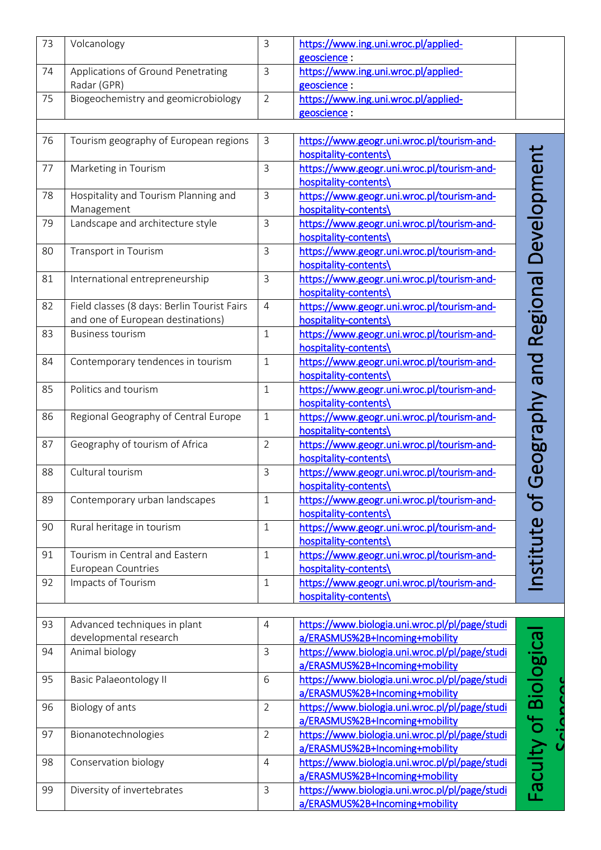| 73 | Volcanology                                 | $\overline{3}$ | https://www.ing.uni.wroc.pl/applied-           |                       |
|----|---------------------------------------------|----------------|------------------------------------------------|-----------------------|
|    |                                             |                | geoscience:                                    |                       |
| 74 | Applications of Ground Penetrating          | $\mathbf{3}$   | https://www.ing.uni.wroc.pl/applied-           |                       |
|    | Radar (GPR)                                 |                | geoscience:                                    |                       |
| 75 | Biogeochemistry and geomicrobiology         | $\overline{2}$ | https://www.ing.uni.wroc.pl/applied-           |                       |
|    |                                             |                | geoscience :                                   |                       |
|    |                                             |                |                                                |                       |
| 76 | Tourism geography of European regions       | $\mathsf{3}$   | https://www.geogr.uni.wroc.pl/tourism-and-     |                       |
|    |                                             |                | hospitality-contents\                          | Development           |
| 77 | Marketing in Tourism                        | $\mathbf{3}$   | https://www.geogr.uni.wroc.pl/tourism-and-     |                       |
|    |                                             |                | hospitality-contents\                          |                       |
| 78 | Hospitality and Tourism Planning and        | $\mathsf{3}$   | https://www.geogr.uni.wroc.pl/tourism-and-     |                       |
|    | Management                                  |                | hospitality-contents\                          |                       |
| 79 | Landscape and architecture style            | $\mathbf{3}$   | https://www.geogr.uni.wroc.pl/tourism-and-     |                       |
|    |                                             |                | hospitality-contents\                          |                       |
| 80 | Transport in Tourism                        | $\mathsf{3}$   | https://www.geogr.uni.wroc.pl/tourism-and-     |                       |
|    |                                             |                | hospitality-contents\                          |                       |
| 81 | International entrepreneurship              | $\overline{3}$ | https://www.geogr.uni.wroc.pl/tourism-and-     |                       |
|    |                                             |                | hospitality-contents\                          |                       |
| 82 | Field classes (8 days: Berlin Tourist Fairs | $\overline{4}$ | https://www.geogr.uni.wroc.pl/tourism-and-     | Regional              |
|    | and one of European destinations)           |                | hospitality-contents\                          |                       |
| 83 | <b>Business tourism</b>                     | $\mathbf{1}$   | https://www.geogr.uni.wroc.pl/tourism-and-     |                       |
|    |                                             |                | hospitality-contents\                          |                       |
| 84 | Contemporary tendences in tourism           | $\mathbf{1}$   | https://www.geogr.uni.wroc.pl/tourism-and-     |                       |
|    |                                             |                | hospitality-contents\                          |                       |
| 85 | Politics and tourism                        | $\mathbf{1}$   | https://www.geogr.uni.wroc.pl/tourism-and-     |                       |
|    |                                             |                | hospitality-contents\                          |                       |
| 86 | Regional Geography of Central Europe        | $\mathbf{1}$   | https://www.geogr.uni.wroc.pl/tourism-and-     |                       |
|    |                                             |                | hospitality-contents\                          |                       |
| 87 | Geography of tourism of Africa              | $\overline{2}$ | https://www.geogr.uni.wroc.pl/tourism-and-     | Geography and         |
|    |                                             |                | hospitality-contents\                          |                       |
| 88 | Cultural tourism                            | $\overline{3}$ | https://www.geogr.uni.wroc.pl/tourism-and-     |                       |
|    |                                             |                | hospitality-contents\                          |                       |
| 89 | Contemporary urban landscapes               | $\mathbf{1}$   | https://www.geogr.uni.wroc.pl/tourism-and-     | nstitute of           |
|    |                                             |                | hospitality-contents\                          |                       |
| 90 | Rural heritage in tourism                   | $\mathbf{1}$   | https://www.geogr.uni.wroc.pl/tourism-and-     |                       |
|    |                                             |                | hospitality-contents\                          |                       |
| 91 | Tourism in Central and Eastern              | $\mathbf{1}$   | https://www.geogr.uni.wroc.pl/tourism-and-     |                       |
|    | European Countries                          |                | hospitality-contents\                          |                       |
| 92 | Impacts of Tourism                          | $\mathbf{1}$   | https://www.geogr.uni.wroc.pl/tourism-and-     |                       |
|    |                                             |                | hospitality-contents\                          |                       |
|    |                                             |                |                                                |                       |
| 93 | Advanced techniques in plant                | $\overline{4}$ | https://www.biologia.uni.wroc.pl/pl/page/studi |                       |
|    | developmental research                      |                | a/ERASMUS%2B+Incoming+mobility                 |                       |
| 94 | Animal biology                              | $\mathsf{3}$   | https://www.biologia.uni.wroc.pl/pl/page/studi |                       |
|    |                                             |                | a/ERASMUS%2B+Incoming+mobility                 |                       |
| 95 | <b>Basic Palaeontology II</b>               | 6              | https://www.biologia.uni.wroc.pl/pl/page/studi |                       |
|    |                                             |                | a/ERASMUS%2B+Incoming+mobility                 |                       |
| 96 | Biology of ants                             | $\overline{2}$ | https://www.biologia.uni.wroc.pl/pl/page/studi | Faculty of Biological |
|    |                                             |                | a/ERASMUS%2B+Incoming+mobility                 |                       |
| 97 | Bionanotechnologies                         | $\overline{2}$ | https://www.biologia.uni.wroc.pl/pl/page/studi |                       |
|    |                                             |                | a/ERASMUS%2B+Incoming+mobility                 |                       |
| 98 | Conservation biology                        | $\overline{4}$ | https://www.biologia.uni.wroc.pl/pl/page/studi |                       |
|    |                                             |                | a/ERASMUS%2B+Incoming+mobility                 |                       |
| 99 | Diversity of invertebrates                  | $\mathsf{3}$   | https://www.biologia.uni.wroc.pl/pl/page/studi |                       |
|    |                                             |                | a/ERASMUS%2B+Incoming+mobility                 |                       |